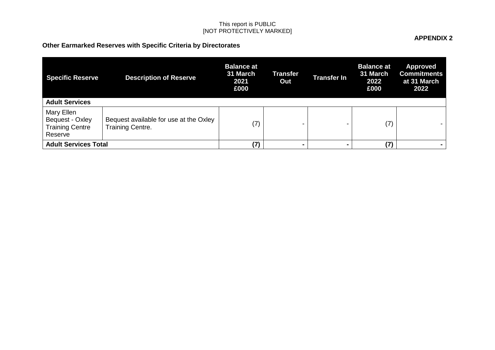# **Other Earmarked Reserves with Specific Criteria by Directorates**

| <b>Specific Reserve</b><br><b>Adult Services</b>                   | <b>Description of Reserve</b>                                     | <b>Balance at</b><br>31 March<br>2021<br>£000 | Transfer<br>Out | <b>Transfer In</b> | <b>Balance at</b><br>31 March<br>2022<br>£000 | <b>Approved</b><br><b>Commitments</b><br>at 31 March<br>2022 |
|--------------------------------------------------------------------|-------------------------------------------------------------------|-----------------------------------------------|-----------------|--------------------|-----------------------------------------------|--------------------------------------------------------------|
| Mary Ellen<br>Bequest - Oxley<br><b>Training Centre</b><br>Reserve | Bequest available for use at the Oxley<br><b>Training Centre.</b> | (7)                                           | -               |                    | (7)                                           |                                                              |
| <b>Adult Services Total</b>                                        |                                                                   | (7)                                           |                 | $\blacksquare$     | (7)                                           |                                                              |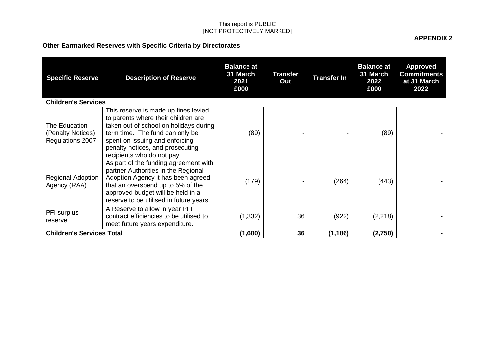# **Other Earmarked Reserves with Specific Criteria by Directorates**

| <b>Specific Reserve</b>                                | <b>Description of Reserve</b>                                                                                                                                                                                                                                | <b>Balance at</b><br>31 March<br>2021<br>£000 | Transfer<br>Out | <b>Transfer In</b> | <b>Balance at</b><br>31 March<br>2022<br>£000 | <b>Approved</b><br><b>Commitments</b><br>at 31 March<br>2022 |
|--------------------------------------------------------|--------------------------------------------------------------------------------------------------------------------------------------------------------------------------------------------------------------------------------------------------------------|-----------------------------------------------|-----------------|--------------------|-----------------------------------------------|--------------------------------------------------------------|
| <b>Children's Services</b>                             |                                                                                                                                                                                                                                                              |                                               |                 |                    |                                               |                                                              |
| The Education<br>(Penalty Notices)<br>Regulations 2007 | This reserve is made up fines levied<br>to parents where their children are<br>taken out of school on holidays during<br>term time. The fund can only be<br>spent on issuing and enforcing<br>penalty notices, and prosecuting<br>recipients who do not pay. | (89)                                          |                 |                    | (89)                                          |                                                              |
| Regional Adoption<br>Agency (RAA)                      | As part of the funding agreement with<br>partner Authorities in the Regional<br>Adoption Agency it has been agreed<br>that an overspend up to 5% of the<br>approved budget will be held in a<br>reserve to be utilised in future years.                      | (179)                                         |                 | (264)              | (443)                                         |                                                              |
| PFI surplus<br>reserve                                 | A Reserve to allow in year PFI<br>contract efficiencies to be utilised to<br>meet future years expenditure.                                                                                                                                                  | (1, 332)                                      | 36              | (922)              | (2,218)                                       |                                                              |
| <b>Children's Services Total</b>                       |                                                                                                                                                                                                                                                              | (1,600)                                       | 36              | (1, 186)           | (2,750)                                       |                                                              |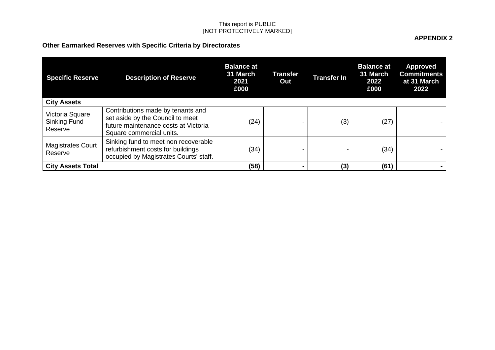# **Other Earmarked Reserves with Specific Criteria by Directorates**

| <b>Specific Reserve</b>                    | <b>Description of Reserve</b>                                                                                                             | <b>Balance at</b><br>31 March<br>2021<br>£000 | <b>Transfer</b><br>Out | <b>Transfer In</b>       | <b>Balance at</b><br>31 March<br>2022<br>£000 | <b>Approved</b><br><b>Commitments</b><br>at 31 March<br>2022 |
|--------------------------------------------|-------------------------------------------------------------------------------------------------------------------------------------------|-----------------------------------------------|------------------------|--------------------------|-----------------------------------------------|--------------------------------------------------------------|
| <b>City Assets</b>                         |                                                                                                                                           |                                               |                        |                          |                                               |                                                              |
| Victoria Square<br>Sinking Fund<br>Reserve | Contributions made by tenants and<br>set aside by the Council to meet<br>future maintenance costs at Victoria<br>Square commercial units. | (24)                                          |                        | (3)                      | (27)                                          |                                                              |
| <b>Magistrates Court</b><br>Reserve        | Sinking fund to meet non recoverable<br>refurbishment costs for buildings<br>occupied by Magistrates Courts' staff.                       | (34)                                          |                        | $\overline{\phantom{0}}$ | (34)                                          |                                                              |
| <b>City Assets Total</b>                   |                                                                                                                                           | (58)                                          | $\blacksquare$         | (3)                      | (61)                                          |                                                              |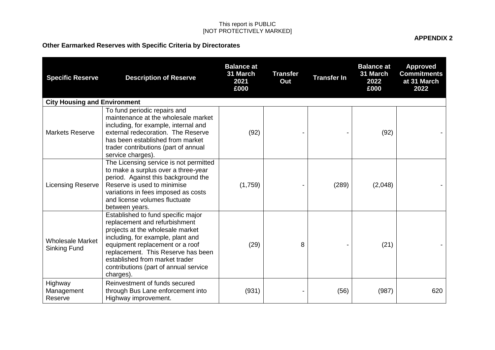# **Other Earmarked Reserves with Specific Criteria by Directorates**

| <b>Specific Reserve</b>                 | <b>Description of Reserve</b>                                                                                                                                                                                                                                                                                 | <b>Balance at</b><br>31 March<br>2021<br>£000 | <b>Transfer</b><br>Out | <b>Transfer In</b> | <b>Balance at</b><br>31 March<br>2022<br>£000 | <b>Approved</b><br><b>Commitments</b><br>at 31 March<br>2022 |
|-----------------------------------------|---------------------------------------------------------------------------------------------------------------------------------------------------------------------------------------------------------------------------------------------------------------------------------------------------------------|-----------------------------------------------|------------------------|--------------------|-----------------------------------------------|--------------------------------------------------------------|
| <b>City Housing and Environment</b>     |                                                                                                                                                                                                                                                                                                               |                                               |                        |                    |                                               |                                                              |
| <b>Markets Reserve</b>                  | To fund periodic repairs and<br>maintenance at the wholesale market<br>including, for example, internal and<br>external redecoration. The Reserve<br>has been established from market<br>trader contributions (part of annual<br>service charges).                                                            | (92)                                          |                        |                    | (92)                                          |                                                              |
| <b>Licensing Reserve</b>                | The Licensing service is not permitted<br>to make a surplus over a three-year<br>period. Against this background the<br>Reserve is used to minimise<br>variations in fees imposed as costs<br>and license volumes fluctuate<br>between years.                                                                 | (1,759)                                       |                        | (289)              | (2,048)                                       |                                                              |
| <b>Wholesale Market</b><br>Sinking Fund | Established to fund specific major<br>replacement and refurbishment<br>projects at the wholesale market<br>including, for example, plant and<br>equipment replacement or a roof<br>replacement. This Reserve has been<br>established from market trader<br>contributions (part of annual service<br>charges). | (29)                                          | 8                      |                    | (21)                                          |                                                              |
| Highway<br>Management<br>Reserve        | Reinvestment of funds secured<br>through Bus Lane enforcement into<br>Highway improvement.                                                                                                                                                                                                                    | (931)                                         |                        | (56)               | (987)                                         | 620                                                          |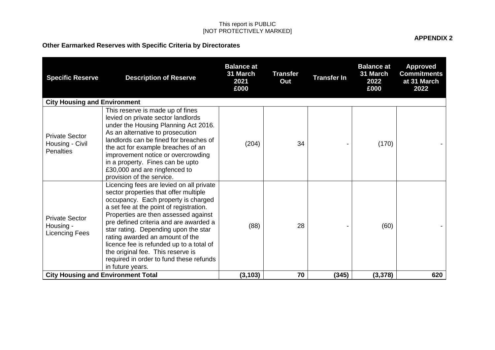### **Other Earmarked Reserves with Specific Criteria by Directorates**

**Specific Reserve Description of Reserve Balance at 31 March 2021 £000 Transfer Out Transfer In Balance at 31 March 2022 £000 Approved Commitments at 31 March 2022 City Housing and Environment** Private Sector Housing - Civil **Penalties** This reserve is made up of fines levied on private sector landlords under the Housing Planning Act 2016. As an alternative to prosecution landlords can be fined for breaches of the act for example breaches of an improvement notice or overcrowding in a property. Fines can be upto £30,000 and are ringfenced to provision of the service. (204) | 34 | - (170) | -Private Sector Housing - Licencing Fees Licencing fees are levied on all private sector properties that offer multiple occupancy. Each property is charged a set fee at the point of registration. Properties are then assessed against pre defined criteria and are awarded a star rating. Depending upon the star rating awarded an amount of the licence fee is refunded up to a total of the original fee. This reserve is required in order to fund these refunds in future years. (88) 28 - (60) - **City Housing and Environment Total (3,103) 70 (345) (3,378) 620**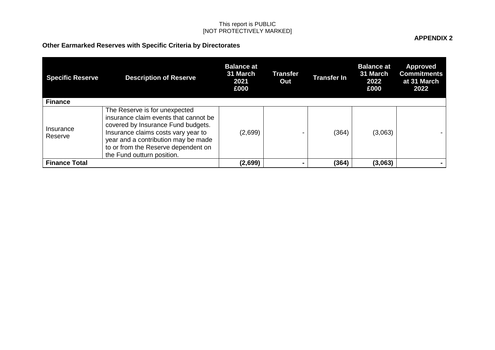# **Other Earmarked Reserves with Specific Criteria by Directorates**

| <b>Specific Reserve</b> | <b>Description of Reserve</b>                                                                                                                                                                                                                                   | <b>Balance at</b><br>31 March<br>2021<br>£000 | Transfer<br>Out | <b>Transfer In</b> | <b>Balance at</b><br>31 March<br>2022<br>£000 | <b>Approved</b><br><b>Commitments</b><br>at 31 March<br>2022 |
|-------------------------|-----------------------------------------------------------------------------------------------------------------------------------------------------------------------------------------------------------------------------------------------------------------|-----------------------------------------------|-----------------|--------------------|-----------------------------------------------|--------------------------------------------------------------|
| <b>Finance</b>          |                                                                                                                                                                                                                                                                 |                                               |                 |                    |                                               |                                                              |
| Insurance<br>Reserve    | The Reserve is for unexpected<br>insurance claim events that cannot be<br>covered by Insurance Fund budgets.<br>Insurance claims costs vary year to<br>year and a contribution may be made<br>to or from the Reserve dependent on<br>the Fund outturn position. | (2,699)                                       |                 | (364)              | (3,063)                                       |                                                              |
| <b>Finance Total</b>    |                                                                                                                                                                                                                                                                 | (2,699)                                       |                 | (364)              | (3,063)                                       |                                                              |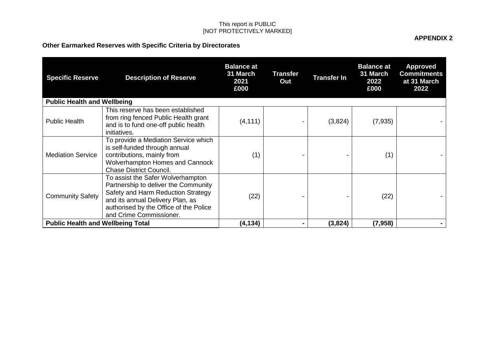# **Other Earmarked Reserves with Specific Criteria by Directorates**

| <b>Specific Reserve</b>                  | <b>Description of Reserve</b>                                                                                                                                                                                            | <b>Balance at</b><br>31 March<br>2021<br>£000 | <b>Transfer</b><br>Out | <b>Transfer In</b> | <b>Balance at</b><br>31 March<br>2022<br>£000 | <b>Approved</b><br><b>Commitments</b><br>at 31 March<br>2022 |  |
|------------------------------------------|--------------------------------------------------------------------------------------------------------------------------------------------------------------------------------------------------------------------------|-----------------------------------------------|------------------------|--------------------|-----------------------------------------------|--------------------------------------------------------------|--|
| <b>Public Health and Wellbeing</b>       |                                                                                                                                                                                                                          |                                               |                        |                    |                                               |                                                              |  |
| <b>Public Health</b>                     | This reserve has been established<br>from ring fenced Public Health grant<br>and is to fund one-off public health<br>initiatives.                                                                                        | (4, 111)                                      |                        | (3,824)            | (7,935)                                       |                                                              |  |
| <b>Mediation Service</b>                 | To provide a Mediation Service which<br>is self-funded through annual<br>contributions, mainly from<br><b>Wolverhampton Homes and Cannock</b><br><b>Chase District Council.</b>                                          | (1)                                           |                        |                    | (1)                                           |                                                              |  |
| <b>Community Safety</b>                  | To assist the Safer Wolverhampton<br>Partnership to deliver the Community<br>Safety and Harm Reduction Strategy<br>and its annual Delivery Plan, as<br>authorised by the Office of the Police<br>and Crime Commissioner. | (22)                                          |                        |                    | (22)                                          |                                                              |  |
| <b>Public Health and Wellbeing Total</b> |                                                                                                                                                                                                                          | (4, 134)                                      |                        | (3,824)            | (7, 958)                                      |                                                              |  |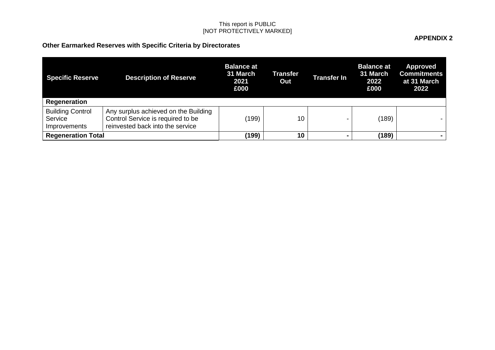# **Other Earmarked Reserves with Specific Criteria by Directorates**

| <b>Specific Reserve</b>                            | <b>Description of Reserve</b>                                                                                 | <b>Balance at</b><br>31 March<br>2021<br>£000 | Transfer<br>Out | Transfer In    | <b>Balance at</b><br>31 March<br>2022<br>£000 | <b>Approved</b><br><b>Commitments</b><br>at 31 March<br>2022 |
|----------------------------------------------------|---------------------------------------------------------------------------------------------------------------|-----------------------------------------------|-----------------|----------------|-----------------------------------------------|--------------------------------------------------------------|
| Regeneration                                       |                                                                                                               |                                               |                 |                |                                               |                                                              |
| <b>Building Control</b><br>Service<br>Improvements | Any surplus achieved on the Building<br>Control Service is required to be<br>reinvested back into the service | (199)                                         | 10              |                | (189)                                         |                                                              |
| <b>Regeneration Total</b>                          |                                                                                                               | (199)                                         | 10              | $\blacksquare$ | (189)                                         |                                                              |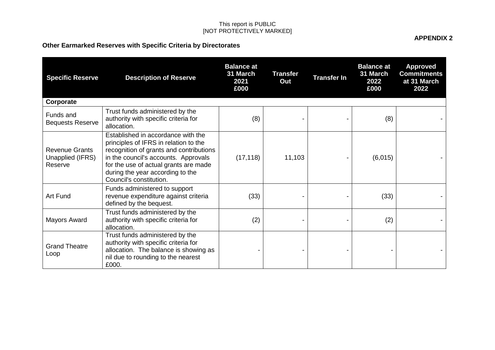# **Other Earmarked Reserves with Specific Criteria by Directorates**

| <b>Specific Reserve</b>                              | <b>Description of Reserve</b>                                                                                                                                                                                                                                          | <b>Balance at</b><br>31 March<br>2021<br>£000 | <b>Transfer</b><br>Out | <b>Transfer In</b> | <b>Balance at</b><br>31 March<br>2022<br>£000 | <b>Approved</b><br><b>Commitments</b><br>at 31 March<br>2022 |
|------------------------------------------------------|------------------------------------------------------------------------------------------------------------------------------------------------------------------------------------------------------------------------------------------------------------------------|-----------------------------------------------|------------------------|--------------------|-----------------------------------------------|--------------------------------------------------------------|
| Corporate                                            |                                                                                                                                                                                                                                                                        |                                               |                        |                    |                                               |                                                              |
| Funds and<br><b>Bequests Reserve</b>                 | Trust funds administered by the<br>authority with specific criteria for<br>allocation.                                                                                                                                                                                 | (8)                                           |                        |                    | (8)                                           |                                                              |
| <b>Revenue Grants</b><br>Unapplied (IFRS)<br>Reserve | Established in accordance with the<br>principles of IFRS in relation to the<br>recognition of grants and contributions<br>in the council's accounts. Approvals<br>for the use of actual grants are made<br>during the year according to the<br>Council's constitution. | (17, 118)                                     | 11,103                 |                    | (6,015)                                       |                                                              |
| Art Fund                                             | Funds administered to support<br>revenue expenditure against criteria<br>defined by the bequest.                                                                                                                                                                       | (33)                                          |                        |                    | (33)                                          |                                                              |
| Mayors Award                                         | Trust funds administered by the<br>authority with specific criteria for<br>allocation.                                                                                                                                                                                 | (2)                                           |                        |                    | (2)                                           |                                                              |
| <b>Grand Theatre</b><br>Loop                         | Trust funds administered by the<br>authority with specific criteria for<br>allocation. The balance is showing as<br>nil due to rounding to the nearest<br>£000.                                                                                                        |                                               |                        |                    |                                               |                                                              |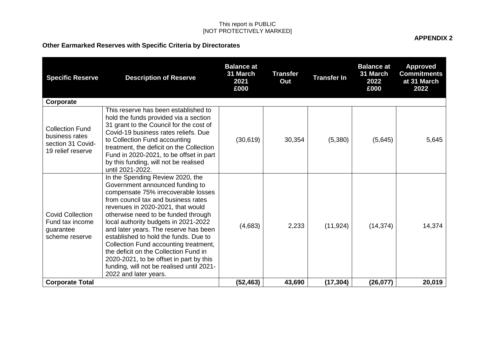### **Other Earmarked Reserves with Specific Criteria by Directorates**

**Specific Reserve Description of Reserve Balance at 31 March 2021 £000 Transfer Out Transfer In Balance at 31 March 2022 £000 Approved Commitments at 31 March 2022 Corporate** Collection Fund business rates section 31 Covid-19 relief reserve This reserve has been established to hold the funds provided via a section 31 grant to the Council for the cost of Covid-19 business rates reliefs. Due to Collection Fund accounting treatment, the deficit on the Collection Fund in 2020-2021, to be offset in part by this funding, will not be realised until 2021-2022.  $(30,619)$  30,354 (5,380) (5,645) 5,645 Covid Collection Fund tax income guarantee scheme reserve In the Spending Review 2020, the Government announced funding to compensate 75% irrecoverable losses from council tax and business rates revenues in 2020-2021, that would otherwise need to be funded through local authority budgets in 2021-2022 and later years. The reserve has been established to hold the funds. Due to Collection Fund accounting treatment, the deficit on the Collection Fund in 2020-2021, to be offset in part by this funding, will not be realised until 2021- 2022 and later years.  $(4.683)$   $(2.233)$   $(11.924)$   $(14.374)$  14.374 **Corporate Total (52,463) 43,690 (17,304) (26,077) 20,019**